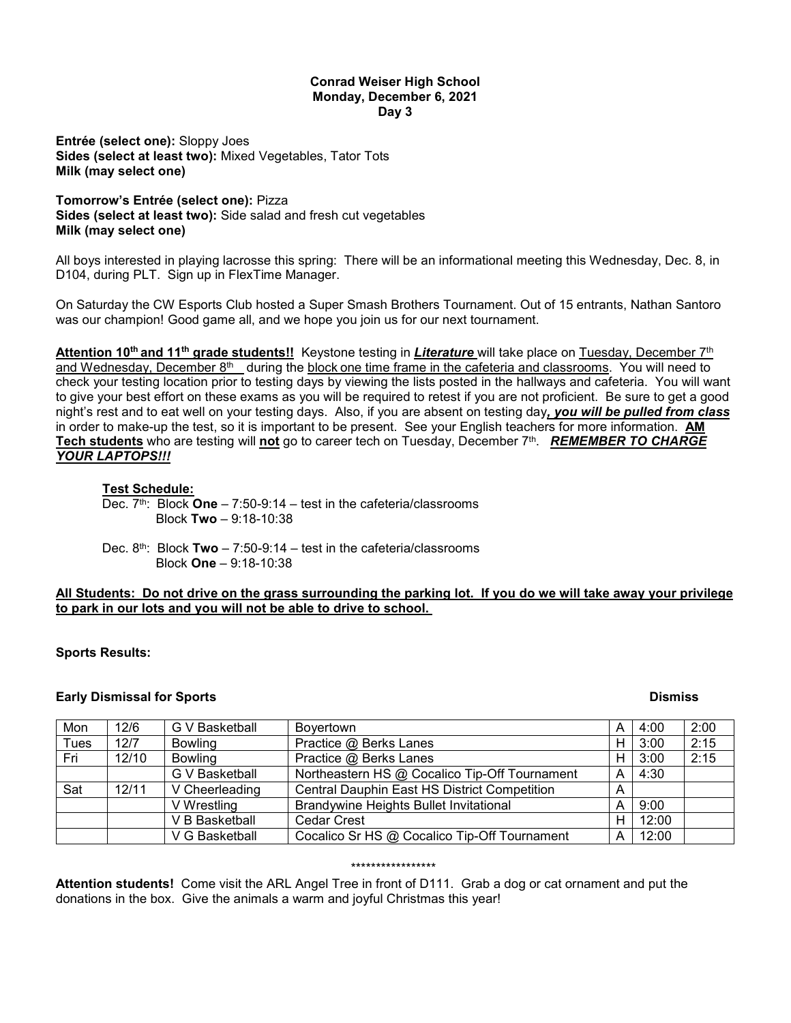### **Conrad Weiser High School Monday, December 6, 2021 Day 3**

**Entrée (select one):** Sloppy Joes **Sides (select at least two):** Mixed Vegetables, Tator Tots **Milk (may select one)**

**Tomorrow's Entrée (select one):** Pizza **Sides (select at least two):** Side salad and fresh cut vegetables **Milk (may select one)**

All boys interested in playing lacrosse this spring: There will be an informational meeting this Wednesday, Dec. 8, in D104, during PLT. Sign up in FlexTime Manager.

On Saturday the CW Esports Club hosted a Super Smash Brothers Tournament. Out of 15 entrants, Nathan Santoro was our champion! Good game all, and we hope you join us for our next tournament.

**Attention 10th and 11th grade students!!** Keystone testing in *Literature* will take place on Tuesday, December 7th and Wednesday, December 8<sup>th</sup> during the block one time frame in the cafeteria and classrooms. You will need to check your testing location prior to testing days by viewing the lists posted in the hallways and cafeteria. You will want to give your best effort on these exams as you will be required to retest if you are not proficient. Be sure to get a good night's rest and to eat well on your testing days. Also, if you are absent on testing day*, you will be pulled from class*  in order to make-up the test, so it is important to be present. See your English teachers for more information. **AM Tech students** who are testing will **not** go to career tech on Tuesday, December 7th. *REMEMBER TO CHARGE YOUR LAPTOPS!!!*

# **Test Schedule:**

Dec. 7<sup>th</sup>: Block **One** – 7:50-9:14 – test in the cafeteria/classrooms Block **Two** – 9:18-10:38

Dec. 8th: Block **Two** – 7:50-9:14 – test in the cafeteria/classrooms Block **One** – 9:18-10:38

# **All Students: Do not drive on the grass surrounding the parking lot. If you do we will take away your privilege to park in our lots and you will not be able to drive to school.**

**Sports Results:**

# **Early Dismissal for Sports** Dismission Contract Contract Contract Contract Contract Contract Contract Contract Contract Contract Contract Contract Contract Contract Contract Contract Contract Contract Contract Contract Co

| Mon         | 12/6  | G V Basketball | <b>Boyertown</b>                              | А | 4:00  | 2:00 |
|-------------|-------|----------------|-----------------------------------------------|---|-------|------|
| <b>Tues</b> | 12/7  | <b>Bowling</b> | Practice @ Berks Lanes                        | н | 3:00  | 2:15 |
| Fri         | 12/10 | <b>Bowling</b> | Practice @ Berks Lanes                        | H | 3:00  | 2:15 |
|             |       | G V Basketball | Northeastern HS @ Cocalico Tip-Off Tournament | A | 4:30  |      |
| Sat         | 12/11 | V Cheerleading | Central Dauphin East HS District Competition  | А |       |      |
|             |       | V Wrestling    | <b>Brandywine Heights Bullet Invitational</b> | А | 9:00  |      |
|             |       | V B Basketball | <b>Cedar Crest</b>                            | н | 12:00 |      |
|             |       | V G Basketball | Cocalico Sr HS @ Cocalico Tip-Off Tournament  | A | 12:00 |      |

#### \*\*\*\*\*\*\*\*\*\*\*\*\*\*\*\*\*

**Attention students!** Come visit the ARL Angel Tree in front of D111. Grab a dog or cat ornament and put the donations in the box. Give the animals a warm and joyful Christmas this year!